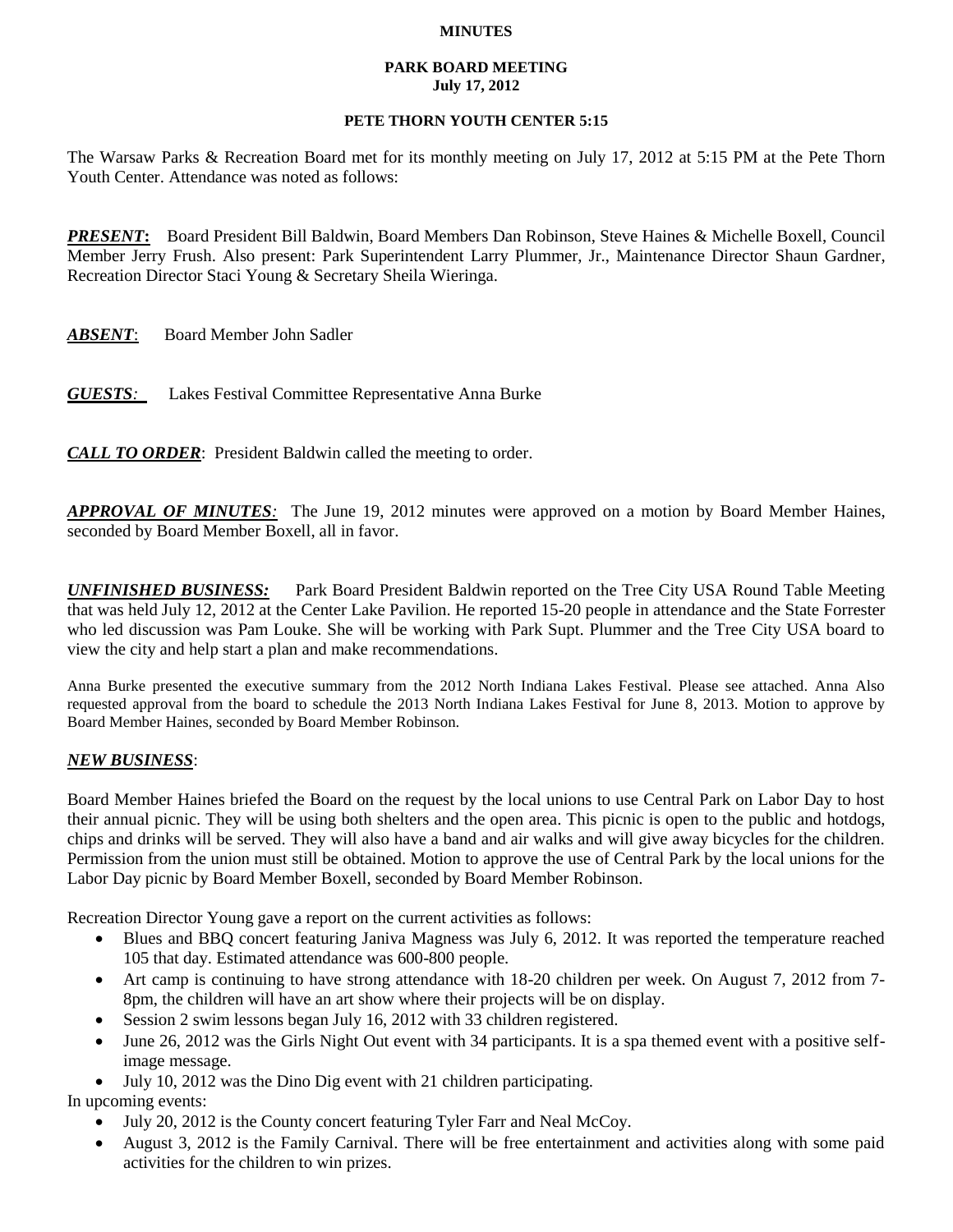## **MINUTES**

## **PARK BOARD MEETING July 17, 2012**

## **PETE THORN YOUTH CENTER 5:15**

The Warsaw Parks & Recreation Board met for its monthly meeting on July 17, 2012 at 5:15 PM at the Pete Thorn Youth Center. Attendance was noted as follows:

*PRESENT***:** Board President Bill Baldwin, Board Members Dan Robinson, Steve Haines & Michelle Boxell, Council Member Jerry Frush. Also present: Park Superintendent Larry Plummer, Jr., Maintenance Director Shaun Gardner, Recreation Director Staci Young & Secretary Sheila Wieringa.

*ABSENT*: Board Member John Sadler

*GUESTS:*Lakes Festival Committee Representative Anna Burke

*CALL TO ORDER*: President Baldwin called the meeting to order.

*APPROVAL OF MINUTES:* The June 19, 2012 minutes were approved on a motion by Board Member Haines, seconded by Board Member Boxell, all in favor.

*UNFINISHED BUSINESS:* Park Board President Baldwin reported on the Tree City USA Round Table Meeting that was held July 12, 2012 at the Center Lake Pavilion. He reported 15-20 people in attendance and the State Forrester who led discussion was Pam Louke. She will be working with Park Supt. Plummer and the Tree City USA board to view the city and help start a plan and make recommendations.

Anna Burke presented the executive summary from the 2012 North Indiana Lakes Festival. Please see attached. Anna Also requested approval from the board to schedule the 2013 North Indiana Lakes Festival for June 8, 2013. Motion to approve by Board Member Haines, seconded by Board Member Robinson.

## *NEW BUSINESS*:

Board Member Haines briefed the Board on the request by the local unions to use Central Park on Labor Day to host their annual picnic. They will be using both shelters and the open area. This picnic is open to the public and hotdogs, chips and drinks will be served. They will also have a band and air walks and will give away bicycles for the children. Permission from the union must still be obtained. Motion to approve the use of Central Park by the local unions for the Labor Day picnic by Board Member Boxell, seconded by Board Member Robinson.

Recreation Director Young gave a report on the current activities as follows:

- Blues and BBQ concert featuring Janiva Magness was July 6, 2012. It was reported the temperature reached 105 that day. Estimated attendance was 600-800 people.
- Art camp is continuing to have strong attendance with 18-20 children per week. On August 7, 2012 from 7-8pm, the children will have an art show where their projects will be on display.
- Session 2 swim lessons began July 16, 2012 with 33 children registered.
- June 26, 2012 was the Girls Night Out event with 34 participants. It is a spa themed event with a positive selfimage message.
- July 10, 2012 was the Dino Dig event with 21 children participating.

In upcoming events:

- July 20, 2012 is the County concert featuring Tyler Farr and Neal McCoy.
- August 3, 2012 is the Family Carnival. There will be free entertainment and activities along with some paid activities for the children to win prizes.